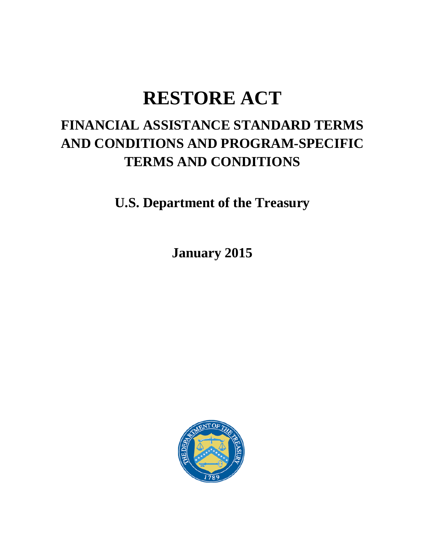# **RESTORE ACT**

## **FINANCIAL ASSISTANCE STANDARD TERMS AND CONDITIONS AND PROGRAM-SPECIFIC TERMS AND CONDITIONS**

**U.S. Department of the Treasury**

**January 2015**

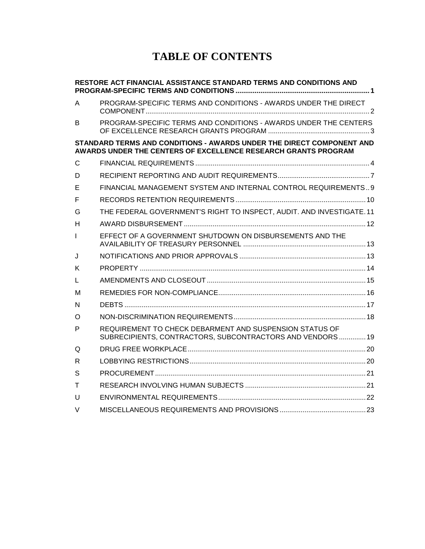## **TABLE OF CONTENTS**

| RESTORE ACT FINANCIAL ASSISTANCE STANDARD TERMS AND CONDITIONS AND                                                                      |                                                                                                                       |
|-----------------------------------------------------------------------------------------------------------------------------------------|-----------------------------------------------------------------------------------------------------------------------|
| A                                                                                                                                       | PROGRAM-SPECIFIC TERMS AND CONDITIONS - AWARDS UNDER THE DIRECT                                                       |
| B.                                                                                                                                      | PROGRAM-SPECIFIC TERMS AND CONDITIONS - AWARDS UNDER THE CENTERS                                                      |
| STANDARD TERMS AND CONDITIONS - AWARDS UNDER THE DIRECT COMPONENT AND<br>AWARDS UNDER THE CENTERS OF EXCELLENCE RESEARCH GRANTS PROGRAM |                                                                                                                       |
| C                                                                                                                                       |                                                                                                                       |
| D                                                                                                                                       |                                                                                                                       |
| Е                                                                                                                                       | FINANCIAL MANAGEMENT SYSTEM AND INTERNAL CONTROL REQUIREMENTS9                                                        |
| F                                                                                                                                       |                                                                                                                       |
| G                                                                                                                                       | THE FEDERAL GOVERNMENT'S RIGHT TO INSPECT, AUDIT. AND INVESTIGATE. 11                                                 |
| н                                                                                                                                       |                                                                                                                       |
| T                                                                                                                                       | EFFECT OF A GOVERNMENT SHUTDOWN ON DISBURSEMENTS AND THE                                                              |
| J                                                                                                                                       |                                                                                                                       |
| Κ                                                                                                                                       |                                                                                                                       |
| L                                                                                                                                       |                                                                                                                       |
| м                                                                                                                                       |                                                                                                                       |
| N                                                                                                                                       |                                                                                                                       |
| O                                                                                                                                       |                                                                                                                       |
| P                                                                                                                                       | REQUIREMENT TO CHECK DEBARMENT AND SUSPENSION STATUS OF<br>SUBRECIPIENTS, CONTRACTORS, SUBCONTRACTORS AND VENDORS  19 |
| Q                                                                                                                                       |                                                                                                                       |
| R                                                                                                                                       |                                                                                                                       |
| S                                                                                                                                       |                                                                                                                       |
| т                                                                                                                                       |                                                                                                                       |
| U                                                                                                                                       |                                                                                                                       |
| V                                                                                                                                       |                                                                                                                       |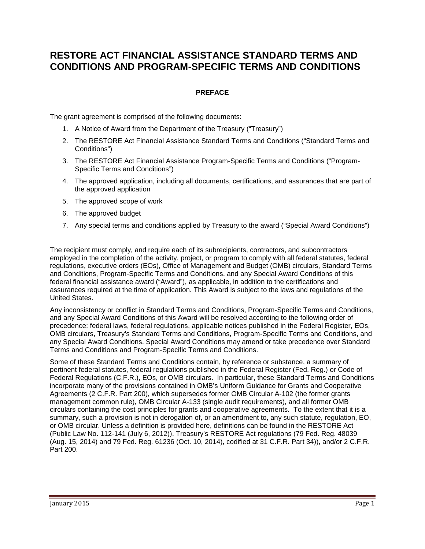### <span id="page-2-0"></span>**RESTORE ACT FINANCIAL ASSISTANCE STANDARD TERMS AND CONDITIONS AND PROGRAM-SPECIFIC TERMS AND CONDITIONS**

#### **PREFACE**

The grant agreement is comprised of the following documents:

- 1. A Notice of Award from the Department of the Treasury ("Treasury")
- 2. The RESTORE Act Financial Assistance Standard Terms and Conditions ("Standard Terms and Conditions")
- 3. The RESTORE Act Financial Assistance Program-Specific Terms and Conditions ("Program-Specific Terms and Conditions")
- 4. The approved application, including all documents, certifications, and assurances that are part of the approved application
- 5. The approved scope of work
- 6. The approved budget
- 7. Any special terms and conditions applied by Treasury to the award ("Special Award Conditions")

The recipient must comply, and require each of its subrecipients, contractors, and subcontractors employed in the completion of the activity, project, or program to comply with all federal statutes, federal regulations, executive orders (EOs), Office of Management and Budget (OMB) circulars, Standard Terms and Conditions, Program-Specific Terms and Conditions, and any Special Award Conditions of this federal financial assistance award ("Award"), as applicable, in addition to the certifications and assurances required at the time of application. This Award is subject to the laws and regulations of the United States.

Any inconsistency or conflict in Standard Terms and Conditions, Program-Specific Terms and Conditions, and any Special Award Conditions of this Award will be resolved according to the following order of precedence: federal laws, federal regulations, applicable notices published in the Federal Register, EOs, OMB circulars, Treasury's Standard Terms and Conditions, Program-Specific Terms and Conditions, and any Special Award Conditions. Special Award Conditions may amend or take precedence over Standard Terms and Conditions and Program-Specific Terms and Conditions.

Some of these Standard Terms and Conditions contain, by reference or substance, a summary of pertinent federal statutes, federal regulations published in the Federal Register (Fed. Reg.) or Code of Federal Regulations (C.F.R.), EOs, or OMB circulars. In particular, these Standard Terms and Conditions incorporate many of the provisions contained in OMB's Uniform Guidance for Grants and Cooperative Agreements (2 C.F.R. Part 200), which supersedes former OMB Circular A-102 (the former grants management common rule), OMB Circular A-133 (single audit requirements), and all former OMB circulars containing the cost principles for grants and cooperative agreements. To the extent that it is a summary, such a provision is not in derogation of, or an amendment to, any such statute, regulation, EO, or OMB circular. Unless a definition is provided here, definitions can be found in the RESTORE Act (Public Law No. 112-141 (July 6, 2012)), Treasury's RESTORE Act regulations (79 Fed. Reg. 48039 (Aug. 15, 2014) and 79 Fed. Reg. 61236 (Oct. 10, 2014), codified at 31 C.F.R. Part 34)), and/or 2 C.F.R. Part 200.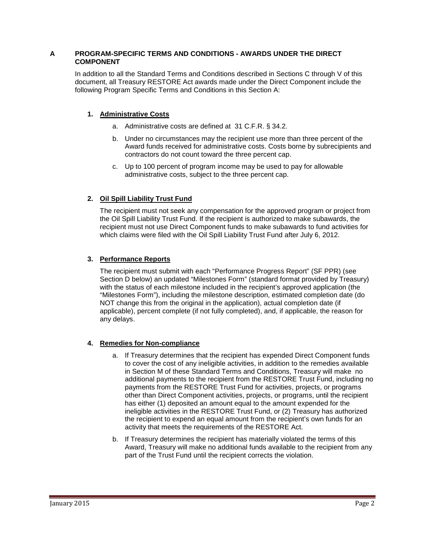#### <span id="page-3-0"></span>**A PROGRAM-SPECIFIC TERMS AND CONDITIONS - AWARDS UNDER THE DIRECT COMPONENT**

In addition to all the Standard Terms and Conditions described in Sections C through V of this document, all Treasury RESTORE Act awards made under the Direct Component include the following Program Specific Terms and Conditions in this Section A:

#### **1. Administrative Costs**

- a. Administrative costs are defined at 31 C.F.R. § 34.2.
- b. Under no circumstances may the recipient use more than three percent of the Award funds received for administrative costs. Costs borne by subrecipients and contractors do not count toward the three percent cap.
- c. Up to 100 percent of program income may be used to pay for allowable administrative costs, subject to the three percent cap.

#### **2. Oil Spill Liability Trust Fund**

The recipient must not seek any compensation for the approved program or project from the Oil Spill Liability Trust Fund. If the recipient is authorized to make subawards, the recipient must not use Direct Component funds to make subawards to fund activities for which claims were filed with the Oil Spill Liability Trust Fund after July 6, 2012.

#### **3. Performance Reports**

The recipient must submit with each "Performance Progress Report" (SF PPR) (see Section D below) an updated "Milestones Form" (standard format provided by Treasury) with the status of each milestone included in the recipient's approved application (the "Milestones Form"), including the milestone description, estimated completion date (do NOT change this from the original in the application), actual completion date (if applicable), percent complete (if not fully completed), and, if applicable, the reason for any delays.

#### **4. Remedies for Non-compliance**

- a. If Treasury determines that the recipient has expended Direct Component funds to cover the cost of any ineligible activities, in addition to the remedies available in Section M of these Standard Terms and Conditions, Treasury will make no additional payments to the recipient from the RESTORE Trust Fund, including no payments from the RESTORE Trust Fund for activities, projects, or programs other than Direct Component activities, projects, or programs, until the recipient has either (1) deposited an amount equal to the amount expended for the ineligible activities in the RESTORE Trust Fund, or (2) Treasury has authorized the recipient to expend an equal amount from the recipient's own funds for an activity that meets the requirements of the RESTORE Act.
- b. If Treasury determines the recipient has materially violated the terms of this Award, Treasury will make no additional funds available to the recipient from any part of the Trust Fund until the recipient corrects the violation.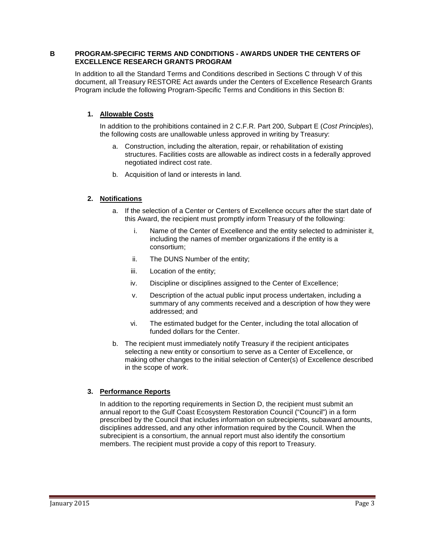#### <span id="page-4-0"></span>**B PROGRAM-SPECIFIC TERMS AND CONDITIONS - AWARDS UNDER THE CENTERS OF EXCELLENCE RESEARCH GRANTS PROGRAM**

In addition to all the Standard Terms and Conditions described in Sections C through V of this document, all Treasury RESTORE Act awards under the Centers of Excellence Research Grants Program include the following Program-Specific Terms and Conditions in this Section B:

#### **1. Allowable Costs**

In addition to the prohibitions contained in 2 C.F.R. Part 200, Subpart E (*Cost Principles*), the following costs are unallowable unless approved in writing by Treasury:

- a. Construction, including the alteration, repair, or rehabilitation of existing structures. Facilities costs are allowable as indirect costs in a federally approved negotiated indirect cost rate.
- b. Acquisition of land or interests in land.

#### **2. Notifications**

- a. If the selection of a Center or Centers of Excellence occurs after the start date of this Award, the recipient must promptly inform Treasury of the following:
	- i. Name of the Center of Excellence and the entity selected to administer it, including the names of member organizations if the entity is a consortium;
	- ii. The DUNS Number of the entity;
	- iii. Location of the entity;
	- iv. Discipline or disciplines assigned to the Center of Excellence;
	- v. Description of the actual public input process undertaken, including a summary of any comments received and a description of how they were addressed; and
	- vi. The estimated budget for the Center, including the total allocation of funded dollars for the Center.
- b. The recipient must immediately notify Treasury if the recipient anticipates selecting a new entity or consortium to serve as a Center of Excellence, or making other changes to the initial selection of Center(s) of Excellence described in the scope of work.

#### **3. Performance Reports**

In addition to the reporting requirements in Section D, the recipient must submit an annual report to the Gulf Coast Ecosystem Restoration Council ("Council") in a form prescribed by the Council that includes information on subrecipients, subaward amounts, disciplines addressed, and any other information required by the Council. When the subrecipient is a consortium, the annual report must also identify the consortium members. The recipient must provide a copy of this report to Treasury.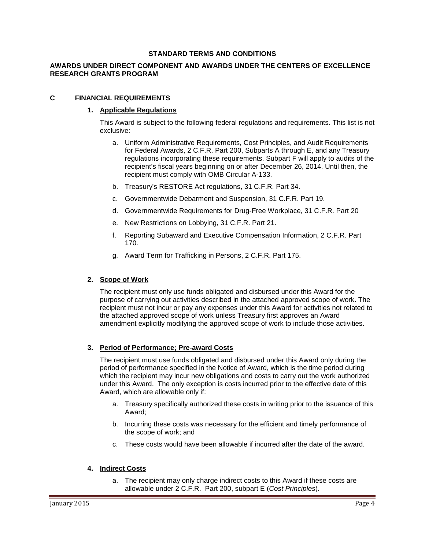#### **STANDARD TERMS AND CONDITIONS**

#### **AWARDS UNDER DIRECT COMPONENT AND AWARDS UNDER THE CENTERS OF EXCELLENCE RESEARCH GRANTS PROGRAM**

#### <span id="page-5-0"></span>**C FINANCIAL REQUIREMENTS**

#### **1. Applicable Regulations**

This Award is subject to the following federal regulations and requirements. This list is not exclusive:

- a. Uniform Administrative Requirements, Cost Principles, and Audit Requirements for Federal Awards, 2 C.F.R. Part 200, Subparts A through E, and any Treasury regulations incorporating these requirements. Subpart F will apply to audits of the recipient's fiscal years beginning on or after December 26, 2014. Until then, the recipient must comply with OMB Circular A-133.
- b. Treasury's RESTORE Act regulations, 31 C.F.R. Part 34.
- c. Governmentwide Debarment and Suspension, 31 C.F.R. Part 19.
- d. Governmentwide Requirements for Drug-Free Workplace, 31 C.F.R. Part 20
- e. New Restrictions on Lobbying, 31 C.F.R. Part 21.
- f. Reporting Subaward and Executive Compensation Information, 2 C.F.R. Part 170.
- g. Award Term for Trafficking in Persons, 2 C.F.R. Part 175.

#### **2. Scope of Work**

The recipient must only use funds obligated and disbursed under this Award for the purpose of carrying out activities described in the attached approved scope of work. The recipient must not incur or pay any expenses under this Award for activities not related to the attached approved scope of work unless Treasury first approves an Award amendment explicitly modifying the approved scope of work to include those activities.

#### **3. Period of Performance; Pre-award Costs**

The recipient must use funds obligated and disbursed under this Award only during the period of performance specified in the Notice of Award, which is the time period during which the recipient may incur new obligations and costs to carry out the work authorized under this Award. The only exception is costs incurred prior to the effective date of this Award, which are allowable only if:

- a. Treasury specifically authorized these costs in writing prior to the issuance of this Award;
- b. Incurring these costs was necessary for the efficient and timely performance of the scope of work; and
- c. These costs would have been allowable if incurred after the date of the award.

#### **4. Indirect Costs**

a. The recipient may only charge indirect costs to this Award if these costs are allowable under 2 C.F.R. Part 200, subpart E (*Cost Principles*).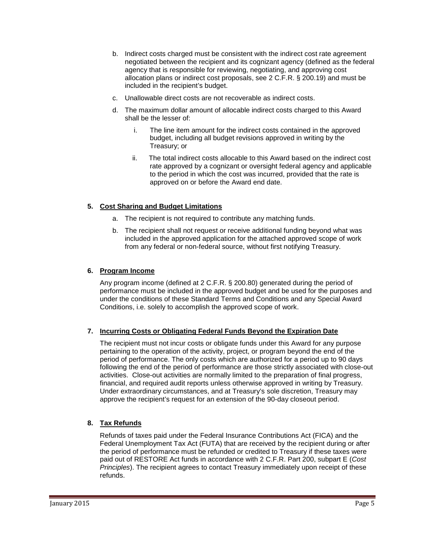- b. Indirect costs charged must be consistent with the indirect cost rate agreement negotiated between the recipient and its cognizant agency (defined as the federal agency that is responsible for reviewing, negotiating, and approving cost allocation plans or indirect cost proposals, see 2 C.F.R. § 200.19) and must be included in the recipient's budget.
- c. Unallowable direct costs are not recoverable as indirect costs.
- d. The maximum dollar amount of allocable indirect costs charged to this Award shall be the lesser of:
	- i. The line item amount for the indirect costs contained in the approved budget, including all budget revisions approved in writing by the Treasury; or
	- ii. The total indirect costs allocable to this Award based on the indirect cost rate approved by a cognizant or oversight federal agency and applicable to the period in which the cost was incurred, provided that the rate is approved on or before the Award end date.

#### **5. Cost Sharing and Budget Limitations**

- a. The recipient is not required to contribute any matching funds.
- b. The recipient shall not request or receive additional funding beyond what was included in the approved application for the attached approved scope of work from any federal or non-federal source, without first notifying Treasury.

#### **6. Program Income**

Any program income (defined at 2 C.F.R. § 200.80) generated during the period of performance must be included in the approved budget and be used for the purposes and under the conditions of these Standard Terms and Conditions and any Special Award Conditions, i.e. solely to accomplish the approved scope of work.

#### **7. Incurring Costs or Obligating Federal Funds Beyond the Expiration Date**

The recipient must not incur costs or obligate funds under this Award for any purpose pertaining to the operation of the activity, project, or program beyond the end of the period of performance. The only costs which are authorized for a period up to 90 days following the end of the period of performance are those strictly associated with close-out activities. Close-out activities are normally limited to the preparation of final progress, financial, and required audit reports unless otherwise approved in writing by Treasury. Under extraordinary circumstances, and at Treasury's sole discretion, Treasury may approve the recipient's request for an extension of the 90-day closeout period.

#### **8. Tax Refunds**

Refunds of taxes paid under the Federal Insurance Contributions Act (FICA) and the Federal Unemployment Tax Act (FUTA) that are received by the recipient during or after the period of performance must be refunded or credited to Treasury if these taxes were paid out of RESTORE Act funds in accordance with 2 C.F.R. Part 200, subpart E (*Cost Principles*). The recipient agrees to contact Treasury immediately upon receipt of these refunds.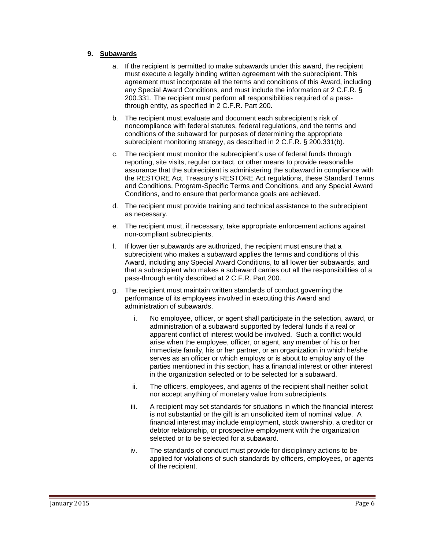#### **9. Subawards**

- a. If the recipient is permitted to make subawards under this award, the recipient must execute a legally binding written agreement with the subrecipient. This agreement must incorporate all the terms and conditions of this Award, including any Special Award Conditions, and must include the information at 2 C.F.R. § 200.331. The recipient must perform all responsibilities required of a passthrough entity, as specified in 2 C.F.R. Part 200.
- b. The recipient must evaluate and document each subrecipient's risk of noncompliance with federal statutes, federal regulations, and the terms and conditions of the subaward for purposes of determining the appropriate subrecipient monitoring strategy, as described in 2 C.F.R. § 200.331(b).
- c. The recipient must monitor the subrecipient's use of federal funds through reporting, site visits, regular contact, or other means to provide reasonable assurance that the subrecipient is administering the subaward in compliance with the RESTORE Act, Treasury's RESTORE Act regulations, these Standard Terms and Conditions, Program-Specific Terms and Conditions, and any Special Award Conditions, and to ensure that performance goals are achieved.
- d. The recipient must provide training and technical assistance to the subrecipient as necessary.
- e. The recipient must, if necessary, take appropriate enforcement actions against non-compliant subrecipients.
- f. If lower tier subawards are authorized, the recipient must ensure that a subrecipient who makes a subaward applies the terms and conditions of this Award, including any Special Award Conditions, to all lower tier subawards, and that a subrecipient who makes a subaward carries out all the responsibilities of a pass-through entity described at 2 C.F.R. Part 200.
- g. The recipient must maintain written standards of conduct governing the performance of its employees involved in executing this Award and administration of subawards.
	- i. No employee, officer, or agent shall participate in the selection, award, or administration of a subaward supported by federal funds if a real or apparent conflict of interest would be involved. Such a conflict would arise when the employee, officer, or agent, any member of his or her immediate family, his or her partner, or an organization in which he/she serves as an officer or which employs or is about to employ any of the parties mentioned in this section, has a financial interest or other interest in the organization selected or to be selected for a subaward.
	- ii. The officers, employees, and agents of the recipient shall neither solicit nor accept anything of monetary value from subrecipients.
	- iii. A recipient may set standards for situations in which the financial interest is not substantial or the gift is an unsolicited item of nominal value. A financial interest may include employment, stock ownership, a creditor or debtor relationship, or prospective employment with the organization selected or to be selected for a subaward.
	- iv. The standards of conduct must provide for disciplinary actions to be applied for violations of such standards by officers, employees, or agents of the recipient.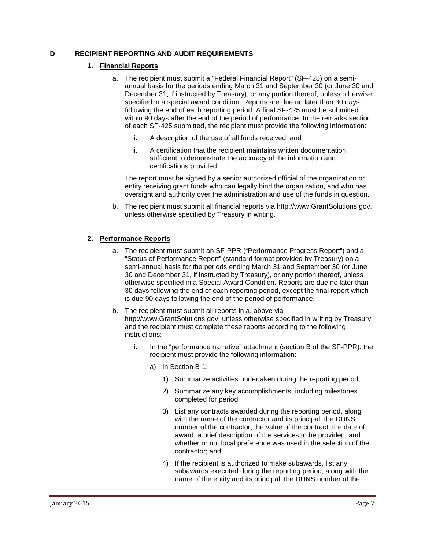#### <span id="page-8-0"></span>**D RECIPIENT REPORTING AND AUDIT REQUIREMENTS**

#### **1. Financial Reports**

- a. The recipient must submit a "Federal Financial Report" (SF-425) on a semiannual basis for the periods ending March 31 and September 30 (or June 30 and December 31, if instructed by Treasury), or any portion thereof, unless otherwise specified in a special award condition. Reports are due no later than 30 days following the end of each reporting period. A final SF-425 must be submitted within 90 days after the end of the period of performance. In the remarks section of each SF-425 submitted, the recipient must provide the following information:
	- i. A description of the use of all funds received; and
	- ii. A certification that the recipient maintains written documentation sufficient to demonstrate the accuracy of the information and certifications provided.

The report must be signed by a senior authorized official of the organization or entity receiving grant funds who can legally bind the organization, and who has oversight and authority over the administration and use of the funds in question.

b. The recipient must submit all financial reports via http://www.GrantSolutions.gov, unless otherwise specified by Treasury in writing.

#### **2. Performance Reports**

- a. The recipient must submit an SF-PPR ("Performance Progress Report") and a "Status of Performance Report" (standard format provided by Treasury) on a semi-annual basis for the periods ending March 31 and September 30 (or June 30 and December 31, if instructed by Treasury), or any portion thereof, unless otherwise specified in a Special Award Condition. Reports are due no later than 30 days following the end of each reporting period, except the final report which is due 90 days following the end of the period of performance.
- b. The recipient must submit all reports in a. above via http://www.GrantSolutions.gov, unless otherwise specified in writing by Treasury, and the recipient must complete these reports according to the following instructions:
	- i. In the "performance narrative" attachment (section B of the SF-PPR), the recipient must provide the following information:
		- a) In Section B-1:
			- 1) Summarize activities undertaken during the reporting period;
			- 2) Summarize any key accomplishments, including milestones completed for period;
			- 3) List any contracts awarded during the reporting period, along with the name of the contractor and its principal, the DUNS number of the contractor, the value of the contract, the date of award, a brief description of the services to be provided, and whether or not local preference was used in the selection of the contractor; and
			- 4) If the recipient is authorized to make subawards, list any subawards executed during the reporting period, along with the name of the entity and its principal, the DUNS number of the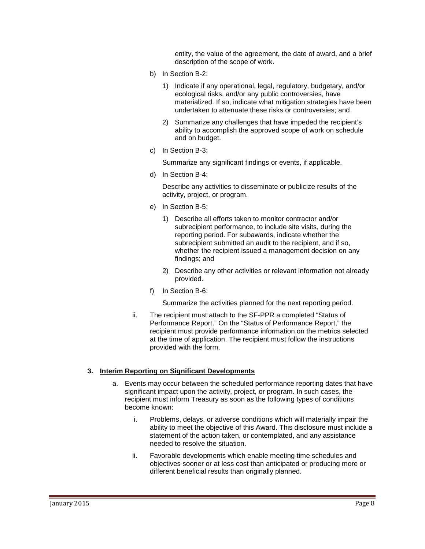entity, the value of the agreement, the date of award, and a brief description of the scope of work.

- b) In Section B-2:
	- 1) Indicate if any operational, legal, regulatory, budgetary, and/or ecological risks, and/or any public controversies, have materialized. If so, indicate what mitigation strategies have been undertaken to attenuate these risks or controversies; and
	- 2) Summarize any challenges that have impeded the recipient's ability to accomplish the approved scope of work on schedule and on budget.
- c) In Section B-3:

Summarize any significant findings or events, if applicable.

d) In Section B-4:

Describe any activities to disseminate or publicize results of the activity, project, or program.

- e) In Section B-5:
	- 1) Describe all efforts taken to monitor contractor and/or subrecipient performance, to include site visits, during the reporting period. For subawards, indicate whether the subrecipient submitted an audit to the recipient, and if so, whether the recipient issued a management decision on any findings; and
	- 2) Describe any other activities or relevant information not already provided.
- f) In Section B-6:

Summarize the activities planned for the next reporting period.

ii. The recipient must attach to the SF-PPR a completed "Status of Performance Report." On the "Status of Performance Report," the recipient must provide performance information on the metrics selected at the time of application. The recipient must follow the instructions provided with the form.

#### **3. Interim Reporting on Significant Developments**

- a. Events may occur between the scheduled performance reporting dates that have significant impact upon the activity, project, or program. In such cases, the recipient must inform Treasury as soon as the following types of conditions become known:
	- i. Problems, delays, or adverse conditions which will materially impair the ability to meet the objective of this Award. This disclosure must include a statement of the action taken, or contemplated, and any assistance needed to resolve the situation.
	- ii. Favorable developments which enable meeting time schedules and objectives sooner or at less cost than anticipated or producing more or different beneficial results than originally planned.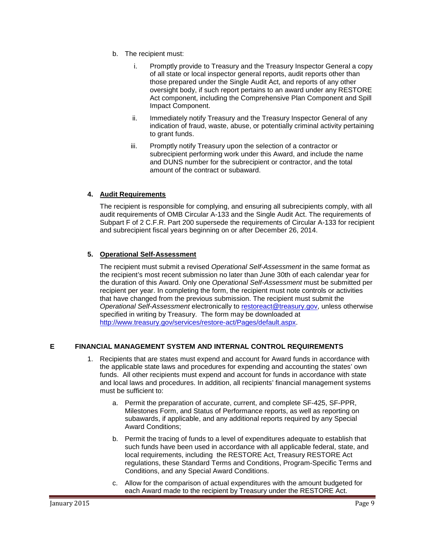- b. The recipient must:
	- i. Promptly provide to Treasury and the Treasury Inspector General a copy of all state or local inspector general reports, audit reports other than those prepared under the Single Audit Act, and reports of any other oversight body, if such report pertains to an award under any RESTORE Act component, including the Comprehensive Plan Component and Spill Impact Component.
	- ii. Immediately notify Treasury and the Treasury Inspector General of any indication of fraud, waste, abuse, or potentially criminal activity pertaining to grant funds.
	- iii. Promptly notify Treasury upon the selection of a contractor or subrecipient performing work under this Award, and include the name and DUNS number for the subrecipient or contractor, and the total amount of the contract or subaward.

#### **4. Audit Requirements**

The recipient is responsible for complying, and ensuring all subrecipients comply, with all audit requirements of OMB Circular A-133 and the Single Audit Act. The requirements of Subpart F of 2 C.F.R. Part 200 supersede the requirements of Circular A-133 for recipient and subrecipient fiscal years beginning on or after December 26, 2014.

#### **5. Operational Self-Assessment**

The recipient must submit a revised *Operational Self-Assessment* in the same format as the recipient's most recent submission no later than June 30th of each calendar year for the duration of this Award. Only one *Operational Self-Assessment* must be submitted per recipient per year. In completing the form, the recipient must note controls or activities that have changed from the previous submission. The recipient must submit the *Operational Self-Assessment* electronically to [restoreact@treasury.gov,](mailto:restoreact@treasury.gov) unless otherwise specified in writing by Treasury. The form may be downloaded at [http://www.treasury.gov/services/restore-act/Pages/default.aspx.](http://www.treasury.gov/services/restore-act/Pages/default.aspx)

#### <span id="page-10-0"></span>**E FINANCIAL MANAGEMENT SYSTEM AND INTERNAL CONTROL REQUIREMENTS**

- 1. Recipients that are states must expend and account for Award funds in accordance with the applicable state laws and procedures for expending and accounting the states' own funds. All other recipients must expend and account for funds in accordance with state and local laws and procedures. In addition, all recipients' financial management systems must be sufficient to:
	- a. Permit the preparation of accurate, current, and complete SF-425, SF-PPR, Milestones Form, and Status of Performance reports, as well as reporting on subawards, if applicable, and any additional reports required by any Special Award Conditions;
	- b. Permit the tracing of funds to a level of expenditures adequate to establish that such funds have been used in accordance with all applicable federal, state, and local requirements, including the RESTORE Act, Treasury RESTORE Act regulations, these Standard Terms and Conditions, Program-Specific Terms and Conditions, and any Special Award Conditions.
	- c. Allow for the comparison of actual expenditures with the amount budgeted for each Award made to the recipient by Treasury under the RESTORE Act.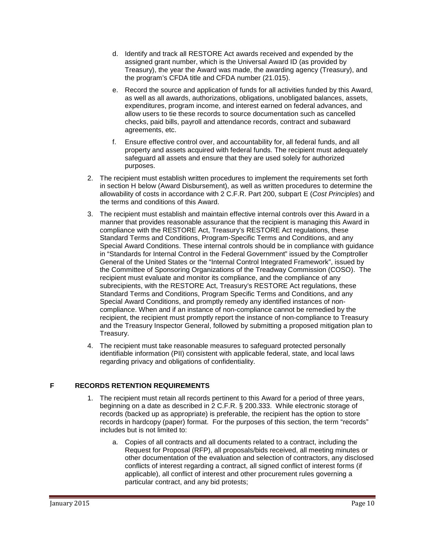- d. Identify and track all RESTORE Act awards received and expended by the assigned grant number, which is the Universal Award ID (as provided by Treasury), the year the Award was made, the awarding agency (Treasury), and the program's CFDA title and CFDA number (21.015).
- e. Record the source and application of funds for all activities funded by this Award, as well as all awards, authorizations, obligations, unobligated balances, assets, expenditures, program income, and interest earned on federal advances, and allow users to tie these records to source documentation such as cancelled checks, paid bills, payroll and attendance records, contract and subaward agreements, etc.
- f. Ensure effective control over, and accountability for, all federal funds, and all property and assets acquired with federal funds. The recipient must adequately safeguard all assets and ensure that they are used solely for authorized purposes.
- 2. The recipient must establish written procedures to implement the requirements set forth in section H below (Award Disbursement), as well as written procedures to determine the allowability of costs in accordance with 2 C.F.R. Part 200, subpart E (*Cost Principles*) and the terms and conditions of this Award.
- 3. The recipient must establish and maintain effective internal controls over this Award in a manner that provides reasonable assurance that the recipient is managing this Award in compliance with the RESTORE Act, Treasury's RESTORE Act regulations, these Standard Terms and Conditions, Program-Specific Terms and Conditions, and any Special Award Conditions. These internal controls should be in compliance with guidance in "Standards for Internal Control in the Federal Government" issued by the Comptroller General of the United States or the "Internal Control Integrated Framework", issued by the Committee of Sponsoring Organizations of the Treadway Commission (COSO). The recipient must evaluate and monitor its compliance, and the compliance of any subrecipients, with the RESTORE Act, Treasury's RESTORE Act regulations, these Standard Terms and Conditions, Program Specific Terms and Conditions, and any Special Award Conditions, and promptly remedy any identified instances of noncompliance. When and if an instance of non-compliance cannot be remedied by the recipient, the recipient must promptly report the instance of non-compliance to Treasury and the Treasury Inspector General, followed by submitting a proposed mitigation plan to Treasury.
- 4. The recipient must take reasonable measures to safeguard protected personally identifiable information (PII) consistent with applicable federal, state, and local laws regarding privacy and obligations of confidentiality.

#### <span id="page-11-0"></span>**F RECORDS RETENTION REQUIREMENTS**

- 1. The recipient must retain all records pertinent to this Award for a period of three years, beginning on a date as described in 2 C.F.R. § 200.333. While electronic storage of records (backed up as appropriate) is preferable, the recipient has the option to store records in hardcopy (paper) format. For the purposes of this section, the term "records" includes but is not limited to:
	- a. Copies of all contracts and all documents related to a contract, including the Request for Proposal (RFP), all proposals/bids received, all meeting minutes or other documentation of the evaluation and selection of contractors, any disclosed conflicts of interest regarding a contract, all signed conflict of interest forms (if applicable), all conflict of interest and other procurement rules governing a particular contract, and any bid protests;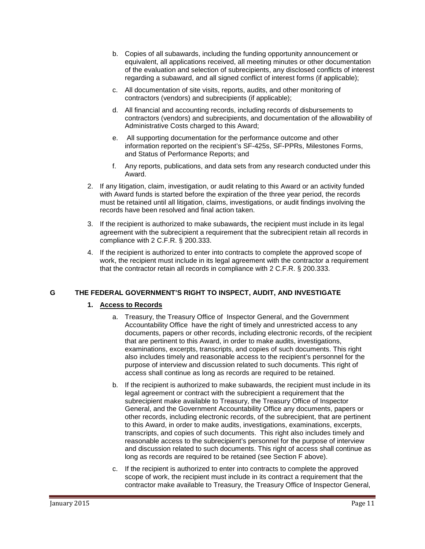- b. Copies of all subawards, including the funding opportunity announcement or equivalent, all applications received, all meeting minutes or other documentation of the evaluation and selection of subrecipients, any disclosed conflicts of interest regarding a subaward, and all signed conflict of interest forms (if applicable);
- c. All documentation of site visits, reports, audits, and other monitoring of contractors (vendors) and subrecipients (if applicable);
- d. All financial and accounting records, including records of disbursements to contractors (vendors) and subrecipients, and documentation of the allowability of Administrative Costs charged to this Award;
- e. All supporting documentation for the performance outcome and other information reported on the recipient's SF-425s, SF-PPRs, Milestones Forms, and Status of Performance Reports; and
- f. Any reports, publications, and data sets from any research conducted under this Award.
- 2. If any litigation, claim, investigation, or audit relating to this Award or an activity funded with Award funds is started before the expiration of the three year period, the records must be retained until all litigation, claims, investigations, or audit findings involving the records have been resolved and final action taken.
- 3. If the recipient is authorized to make subawards, the recipient must include in its legal agreement with the subrecipient a requirement that the subrecipient retain all records in compliance with 2 C.F.R. § 200.333.
- 4. If the recipient is authorized to enter into contracts to complete the approved scope of work, the recipient must include in its legal agreement with the contractor a requirement that the contractor retain all records in compliance with 2 C.F.R. § 200.333.

#### <span id="page-12-0"></span>**G THE FEDERAL GOVERNMENT'S RIGHT TO INSPECT, AUDIT, AND INVESTIGATE**

#### **1. Access to Records**

- a. Treasury, the Treasury Office of Inspector General, and the Government Accountability Office have the right of timely and unrestricted access to any documents, papers or other records, including electronic records, of the recipient that are pertinent to this Award, in order to make audits, investigations, examinations, excerpts, transcripts, and copies of such documents. This right also includes timely and reasonable access to the recipient's personnel for the purpose of interview and discussion related to such documents. This right of access shall continue as long as records are required to be retained.
- b. If the recipient is authorized to make subawards, the recipient must include in its legal agreement or contract with the subrecipient a requirement that the subrecipient make available to Treasury, the Treasury Office of Inspector General, and the Government Accountability Office any documents, papers or other records, including electronic records, of the subrecipient, that are pertinent to this Award, in order to make audits, investigations, examinations, excerpts, transcripts, and copies of such documents. This right also includes timely and reasonable access to the subrecipient's personnel for the purpose of interview and discussion related to such documents. This right of access shall continue as long as records are required to be retained (see Section F above).
- c. If the recipient is authorized to enter into contracts to complete the approved scope of work, the recipient must include in its contract a requirement that the contractor make available to Treasury, the Treasury Office of Inspector General,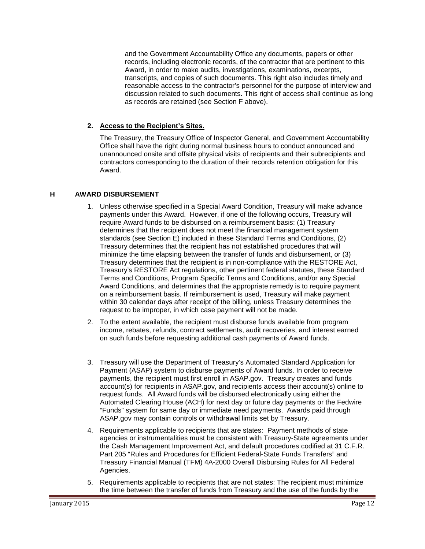and the Government Accountability Office any documents, papers or other records, including electronic records, of the contractor that are pertinent to this Award, in order to make audits, investigations, examinations, excerpts, transcripts, and copies of such documents. This right also includes timely and reasonable access to the contractor's personnel for the purpose of interview and discussion related to such documents. This right of access shall continue as long as records are retained (see Section F above).

#### **2. Access to the Recipient's Sites.**

The Treasury, the Treasury Office of Inspector General, and Government Accountability Office shall have the right during normal business hours to conduct announced and unannounced onsite and offsite physical visits of recipients and their subrecipients and contractors corresponding to the duration of their records retention obligation for this Award.

#### <span id="page-13-0"></span>**H AWARD DISBURSEMENT**

- 1. Unless otherwise specified in a Special Award Condition, Treasury will make advance payments under this Award. However, if one of the following occurs, Treasury will require Award funds to be disbursed on a reimbursement basis: (1) Treasury determines that the recipient does not meet the financial management system standards (see Section E) included in these Standard Terms and Conditions, (2) Treasury determines that the recipient has not established procedures that will minimize the time elapsing between the transfer of funds and disbursement, or (3) Treasury determines that the recipient is in non-compliance with the RESTORE Act, Treasury's RESTORE Act regulations, other pertinent federal statutes, these Standard Terms and Conditions, Program Specific Terms and Conditions, and/or any Special Award Conditions, and determines that the appropriate remedy is to require payment on a reimbursement basis. If reimbursement is used, Treasury will make payment within 30 calendar days after receipt of the billing, unless Treasury determines the request to be improper, in which case payment will not be made.
- 2. To the extent available, the recipient must disburse funds available from program income, rebates, refunds, contract settlements, audit recoveries, and interest earned on such funds before requesting additional cash payments of Award funds.
- 3. Treasury will use the Department of Treasury's Automated Standard Application for Payment (ASAP) system to disburse payments of Award funds. In order to receive payments, the recipient must first enroll in ASAP.gov. Treasury creates and funds account(s) for recipients in ASAP.gov, and recipients access their account(s) online to request funds. All Award funds will be disbursed electronically using either the Automated Clearing House (ACH) for next day or future day payments or the Fedwire "Funds" system for same day or immediate need payments. Awards paid through ASAP.gov may contain controls or withdrawal limits set by Treasury.
- 4. Requirements applicable to recipients that are states: Payment methods of state agencies or instrumentalities must be consistent with Treasury-State agreements under the Cash Management Improvement Act, and default procedures codified at 31 C.F.R. Part 205 "Rules and Procedures for Efficient Federal-State Funds Transfers" and Treasury Financial Manual (TFM) 4A-2000 Overall Disbursing Rules for All Federal Agencies.
- 5. Requirements applicable to recipients that are not states: The recipient must minimize the time between the transfer of funds from Treasury and the use of the funds by the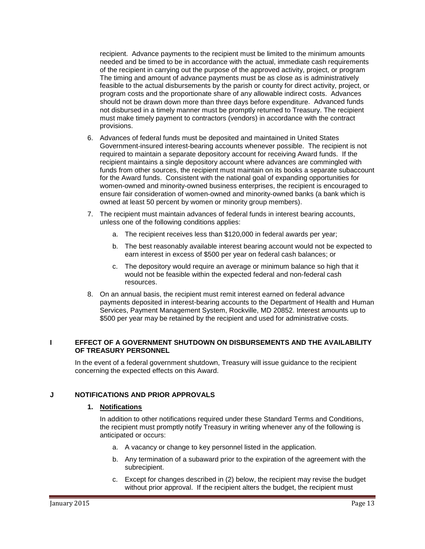recipient. Advance payments to the recipient must be limited to the minimum amounts needed and be timed to be in accordance with the actual, immediate cash requirements of the recipient in carrying out the purpose of the approved activity, project, or program The timing and amount of advance payments must be as close as is administratively feasible to the actual disbursements by the parish or county for direct activity, project, or program costs and the proportionate share of any allowable indirect costs. Advances should not be drawn down more than three days before expenditure. Advanced funds not disbursed in a timely manner must be promptly returned to Treasury. The recipient must make timely payment to contractors (vendors) in accordance with the contract provisions.

- 6. Advances of federal funds must be deposited and maintained in United States Government-insured interest-bearing accounts whenever possible. The recipient is not required to maintain a separate depository account for receiving Award funds. If the recipient maintains a single depository account where advances are commingled with funds from other sources, the recipient must maintain on its books a separate subaccount for the Award funds. Consistent with the national goal of expanding opportunities for women-owned and minority-owned business enterprises, the recipient is encouraged to ensure fair consideration of women-owned and minority-owned banks (a bank which is owned at least 50 percent by women or minority group members).
- 7. The recipient must maintain advances of federal funds in interest bearing accounts, unless one of the following conditions applies:
	- a. The recipient receives less than \$120,000 in federal awards per year;
	- b. The best reasonably available interest bearing account would not be expected to earn interest in excess of \$500 per year on federal cash balances; or
	- c. The depository would require an average or minimum balance so high that it would not be feasible within the expected federal and non-federal cash resources.
- 8. On an annual basis, the recipient must remit interest earned on federal advance payments deposited in interest-bearing accounts to the Department of Health and Human Services, Payment Management System, Rockville, MD 20852. Interest amounts up to \$500 per year may be retained by the recipient and used for administrative costs.

#### <span id="page-14-0"></span>**I EFFECT OF A GOVERNMENT SHUTDOWN ON DISBURSEMENTS AND THE AVAILABILITY OF TREASURY PERSONNEL**

In the event of a federal government shutdown, Treasury will issue guidance to the recipient concerning the expected effects on this Award.

#### <span id="page-14-1"></span>**J NOTIFICATIONS AND PRIOR APPROVALS**

#### **1. Notifications**

In addition to other notifications required under these Standard Terms and Conditions, the recipient must promptly notify Treasury in writing whenever any of the following is anticipated or occurs:

- a. A vacancy or change to key personnel listed in the application.
- b. Any termination of a subaward prior to the expiration of the agreement with the subrecipient.
- c. Except for changes described in (2) below, the recipient may revise the budget without prior approval. If the recipient alters the budget, the recipient must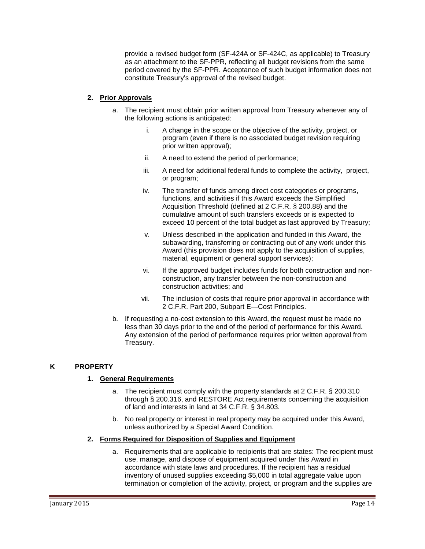provide a revised budget form (SF-424A or SF-424C, as applicable) to Treasury as an attachment to the SF-PPR, reflecting all budget revisions from the same period covered by the SF-PPR. Acceptance of such budget information does not constitute Treasury's approval of the revised budget.

#### **2. Prior Approvals**

- a. The recipient must obtain prior written approval from Treasury whenever any of the following actions is anticipated:
	- i. A change in the scope or the objective of the activity, project, or program (even if there is no associated budget revision requiring prior written approval);
	- ii. A need to extend the period of performance;
	- iii. A need for additional federal funds to complete the activity, project, or program;
	- iv. The transfer of funds among direct cost categories or programs, functions, and activities if this Award exceeds the Simplified Acquisition Threshold (defined at 2 C.F.R. § 200.88) and the cumulative amount of such transfers exceeds or is expected to exceed 10 percent of the total budget as last approved by Treasury;
	- v. Unless described in the application and funded in this Award, the subawarding, transferring or contracting out of any work under this Award (this provision does not apply to the acquisition of supplies, material, equipment or general support services);
	- vi. If the approved budget includes funds for both construction and nonconstruction, any transfer between the non-construction and construction activities; and
	- vii. The inclusion of costs that require prior approval in accordance with 2 C.F.R. Part 200, Subpart E—Cost Principles.
- b. If requesting a no-cost extension to this Award, the request must be made no less than 30 days prior to the end of the period of performance for this Award. Any extension of the period of performance requires prior written approval from Treasury.

#### <span id="page-15-0"></span>**K PROPERTY**

#### **1. General Requirements**

- a. The recipient must comply with the property standards at 2 C.F.R. § 200.310 through § 200.316, and RESTORE Act requirements concerning the acquisition of land and interests in land at 34 C.F.R. § 34.803.
- b. No real property or interest in real property may be acquired under this Award, unless authorized by a Special Award Condition.

#### **2. Forms Required for Disposition of Supplies and Equipment**

a. Requirements that are applicable to recipients that are states: The recipient must use, manage, and dispose of equipment acquired under this Award in accordance with state laws and procedures. If the recipient has a residual inventory of unused supplies exceeding \$5,000 in total aggregate value upon termination or completion of the activity, project, or program and the supplies are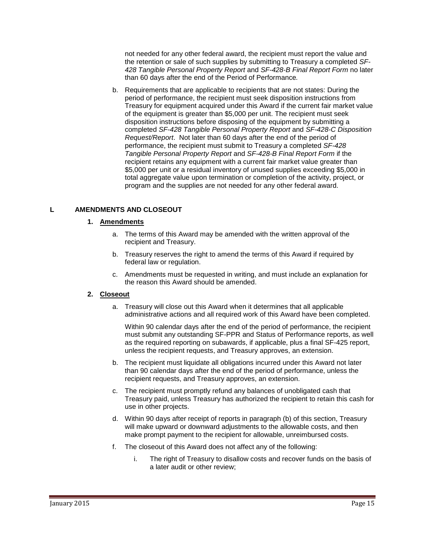not needed for any other federal award, the recipient must report the value and the retention or sale of such supplies by submitting to Treasury a completed *SF-428 Tangible Personal Property Report* and *SF-428-B Final Report Form* no later than 60 days after the end of the Period of Performance*.*

b. Requirements that are applicable to recipients that are not states: During the period of performance, the recipient must seek disposition instructions from Treasury for equipment acquired under this Award if the current fair market value of the equipment is greater than \$5,000 per unit. The recipient must seek disposition instructions before disposing of the equipment by submitting a completed *SF-428 Tangible Personal Property Report* and *SF-428-C Disposition Request/Report*. Not later than 60 days after the end of the period of performance, the recipient must submit to Treasury a completed *SF-428 Tangible Personal Property Report* and *SF-428-B Final Report Form* if the recipient retains any equipment with a current fair market value greater than \$5,000 per unit or a residual inventory of unused supplies exceeding \$5,000 in total aggregate value upon termination or completion of the activity, project, or program and the supplies are not needed for any other federal award.

#### <span id="page-16-0"></span>**L AMENDMENTS AND CLOSEOUT**

#### **1. Amendments**

- a. The terms of this Award may be amended with the written approval of the recipient and Treasury.
- b. Treasury reserves the right to amend the terms of this Award if required by federal law or regulation.
- c. Amendments must be requested in writing, and must include an explanation for the reason this Award should be amended.

#### **2. Closeout**

a. Treasury will close out this Award when it determines that all applicable administrative actions and all required work of this Award have been completed.

Within 90 calendar days after the end of the period of performance, the recipient must submit any outstanding SF-PPR and Status of Performance reports, as well as the required reporting on subawards, if applicable, plus a final SF-425 report, unless the recipient requests, and Treasury approves, an extension.

- b. The recipient must liquidate all obligations incurred under this Award not later than 90 calendar days after the end of the period of performance, unless the recipient requests, and Treasury approves, an extension.
- c. The recipient must promptly refund any balances of unobligated cash that Treasury paid, unless Treasury has authorized the recipient to retain this cash for use in other projects.
- d. Within 90 days after receipt of reports in paragraph (b) of this section, Treasury will make upward or downward adjustments to the allowable costs, and then make prompt payment to the recipient for allowable, unreimbursed costs.
- f. The closeout of this Award does not affect any of the following:
	- i. The right of Treasury to disallow costs and recover funds on the basis of a later audit or other review;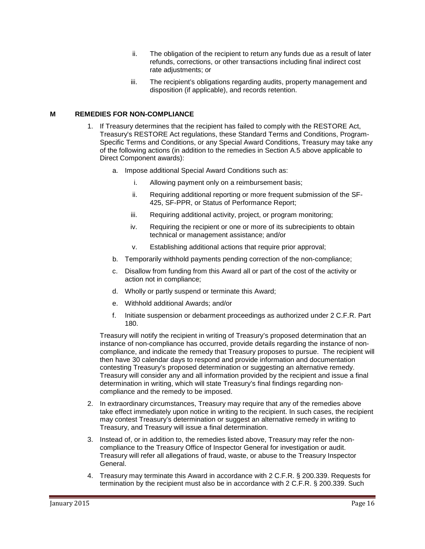- ii. The obligation of the recipient to return any funds due as a result of later refunds, corrections, or other transactions including final indirect cost rate adjustments; or
- iii. The recipient's obligations regarding audits, property management and disposition (if applicable), and records retention.

#### <span id="page-17-0"></span>**M REMEDIES FOR NON-COMPLIANCE**

- 1. If Treasury determines that the recipient has failed to comply with the RESTORE Act, Treasury's RESTORE Act regulations, these Standard Terms and Conditions, Program-Specific Terms and Conditions, or any Special Award Conditions, Treasury may take any of the following actions (in addition to the remedies in Section A.5 above applicable to Direct Component awards):
	- a. Impose additional Special Award Conditions such as:
		- i. Allowing payment only on a reimbursement basis;
		- ii. Requiring additional reporting or more frequent submission of the SF-425, SF-PPR, or Status of Performance Report;
		- iii. Requiring additional activity, project, or program monitoring;
		- iv. Requiring the recipient or one or more of its subrecipients to obtain technical or management assistance; and/or
		- v. Establishing additional actions that require prior approval;
	- b. Temporarily withhold payments pending correction of the non-compliance;
	- c. Disallow from funding from this Award all or part of the cost of the activity or action not in compliance;
	- d. Wholly or partly suspend or terminate this Award;
	- e. Withhold additional Awards; and/or
	- f. Initiate suspension or debarment proceedings as authorized under 2 C.F.R. Part 180.

Treasury will notify the recipient in writing of Treasury's proposed determination that an instance of non-compliance has occurred, provide details regarding the instance of noncompliance, and indicate the remedy that Treasury proposes to pursue. The recipient will then have 30 calendar days to respond and provide information and documentation contesting Treasury's proposed determination or suggesting an alternative remedy. Treasury will consider any and all information provided by the recipient and issue a final determination in writing, which will state Treasury's final findings regarding noncompliance and the remedy to be imposed.

- 2. In extraordinary circumstances, Treasury may require that any of the remedies above take effect immediately upon notice in writing to the recipient. In such cases, the recipient may contest Treasury's determination or suggest an alternative remedy in writing to Treasury, and Treasury will issue a final determination.
- 3. Instead of, or in addition to, the remedies listed above, Treasury may refer the noncompliance to the Treasury Office of Inspector General for investigation or audit. Treasury will refer all allegations of fraud, waste, or abuse to the Treasury Inspector General.
- 4. Treasury may terminate this Award in accordance with 2 C.F.R. § 200.339. Requests for termination by the recipient must also be in accordance with 2 C.F.R. § 200.339. Such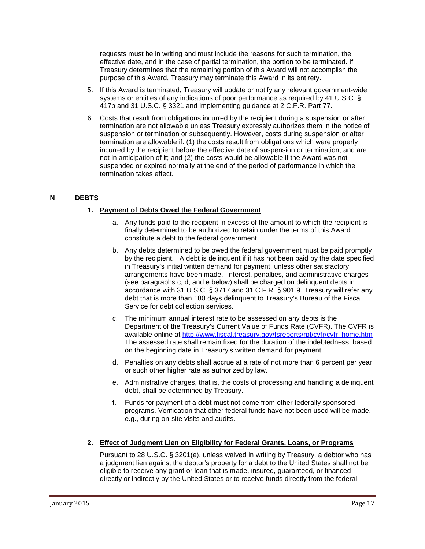requests must be in writing and must include the reasons for such termination, the effective date, and in the case of partial termination, the portion to be terminated. If Treasury determines that the remaining portion of this Award will not accomplish the purpose of this Award, Treasury may terminate this Award in its entirety.

- 5. If this Award is terminated, Treasury will update or notify any relevant government-wide systems or entities of any indications of poor performance as required by 41 U.S.C. § 417b and 31 U.S.C. § 3321 and implementing guidance at 2 C.F.R. Part 77.
- 6. Costs that result from obligations incurred by the recipient during a suspension or after termination are not allowable unless Treasury expressly authorizes them in the notice of suspension or termination or subsequently. However, costs during suspension or after termination are allowable if: (1) the costs result from obligations which were properly incurred by the recipient before the effective date of suspension or termination, and are not in anticipation of it; and (2) the costs would be allowable if the Award was not suspended or expired normally at the end of the period of performance in which the termination takes effect.

#### <span id="page-18-0"></span>**N DEBTS**

#### **1. Payment of Debts Owed the Federal Government**

- a. Any funds paid to the recipient in excess of the amount to which the recipient is finally determined to be authorized to retain under the terms of this Award constitute a debt to the federal government.
- b. Any debts determined to be owed the federal government must be paid promptly by the recipient. A debt is delinquent if it has not been paid by the date specified in Treasury's initial written demand for payment, unless other satisfactory arrangements have been made. Interest, penalties, and administrative charges (see paragraphs c, d, and e below) shall be charged on delinquent debts in accordance with 31 U.S.C. § 3717 and 31 C.F.R. § 901.9. Treasury will refer any debt that is more than 180 days delinquent to Treasury's Bureau of the Fiscal Service for debt collection services.
- c. The minimum annual interest rate to be assessed on any debts is the Department of the Treasury's Current Value of Funds Rate (CVFR). The CVFR is available online at [http://www.fiscal.treasury.gov/fsreports/rpt/cvfr/cvfr\\_home.htm.](http://www.fiscal.treasury.gov/fsreports/rpt/cvfr/cvfr_home.htm) The assessed rate shall remain fixed for the duration of the indebtedness, based on the beginning date in Treasury's written demand for payment.
- d. Penalties on any debts shall accrue at a rate of not more than 6 percent per year or such other higher rate as authorized by law.
- e. Administrative charges, that is, the costs of processing and handling a delinquent debt, shall be determined by Treasury.
- f. Funds for payment of a debt must not come from other federally sponsored programs. Verification that other federal funds have not been used will be made, e.g., during on-site visits and audits.

#### **2. Effect of Judgment Lien on Eligibility for Federal Grants, Loans, or Programs**

Pursuant to 28 U.S.C. § 3201(e), unless waived in writing by Treasury, a debtor who has a judgment lien against the debtor's property for a debt to the United States shall not be eligible to receive any grant or loan that is made, insured, guaranteed, or financed directly or indirectly by the United States or to receive funds directly from the federal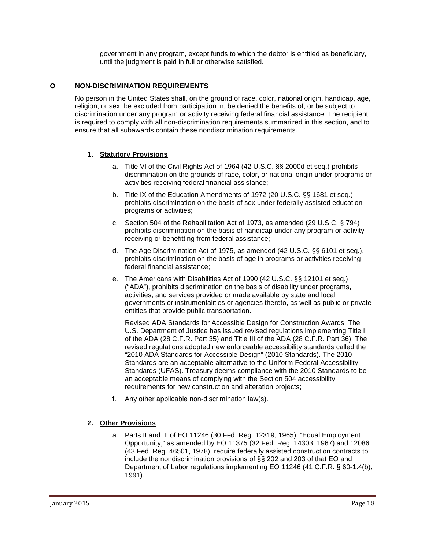government in any program, except funds to which the debtor is entitled as beneficiary, until the judgment is paid in full or otherwise satisfied.

#### <span id="page-19-0"></span>**O NON-DISCRIMINATION REQUIREMENTS**

No person in the United States shall, on the ground of race, color, national origin, handicap, age, religion, or sex, be excluded from participation in, be denied the benefits of, or be subject to discrimination under any program or activity receiving federal financial assistance. The recipient is required to comply with all non-discrimination requirements summarized in this section, and to ensure that all subawards contain these nondiscrimination requirements.

#### **1. Statutory Provisions**

- a. Title VI of the Civil Rights Act of 1964 (42 U.S.C. §§ 2000d et seq.) prohibits discrimination on the grounds of race, color, or national origin under programs or activities receiving federal financial assistance;
- b. Title IX of the Education Amendments of 1972 (20 U.S.C. §§ 1681 et seq.) prohibits discrimination on the basis of sex under federally assisted education programs or activities;
- c. Section 504 of the Rehabilitation Act of 1973, as amended (29 U.S.C. § 794) prohibits discrimination on the basis of handicap under any program or activity receiving or benefitting from federal assistance;
- d. The Age Discrimination Act of 1975, as amended (42 U.S.C. §§ 6101 et seq.), prohibits discrimination on the basis of age in programs or activities receiving federal financial assistance;
- e. The Americans with Disabilities Act of 1990 (42 U.S.C. §§ 12101 et seq.) ("ADA"), prohibits discrimination on the basis of disability under programs, activities, and services provided or made available by state and local governments or instrumentalities or agencies thereto, as well as public or private entities that provide public transportation.

Revised ADA Standards for Accessible Design for Construction Awards: The U.S. Department of Justice has issued revised regulations implementing Title II of the ADA (28 C.F.R. Part 35) and Title III of the ADA (28 C.F.R. Part 36). The revised regulations adopted new enforceable accessibility standards called the "2010 ADA Standards for Accessible Design" (2010 Standards). The 2010 Standards are an acceptable alternative to the Uniform Federal Accessibility Standards (UFAS). Treasury deems compliance with the 2010 Standards to be an acceptable means of complying with the Section 504 accessibility requirements for new construction and alteration projects;

f. Any other applicable non-discrimination law(s).

#### **2. Other Provisions**

a. Parts II and III of EO 11246 (30 Fed. Reg. 12319, 1965), "Equal Employment Opportunity," as amended by EO 11375 (32 Fed. Reg. 14303, 1967) and 12086 (43 Fed. Reg. 46501, 1978), require federally assisted construction contracts to include the nondiscrimination provisions of §§ 202 and 203 of that EO and Department of Labor regulations implementing EO 11246 (41 C.F.R. § 60-1.4(b), 1991).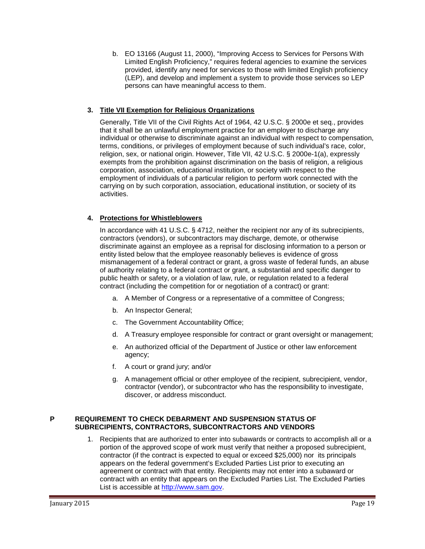b. EO 13166 (August 11, 2000), "Improving Access to Services for Persons With Limited English Proficiency," requires federal agencies to examine the services provided, identify any need for services to those with limited English proficiency (LEP), and develop and implement a system to provide those services so LEP persons can have meaningful access to them.

#### **3. Title VII Exemption for Religious Organizations**

Generally, Title VII of the Civil Rights Act of 1964, 42 U.S.C. § 2000e et seq., provides that it shall be an unlawful employment practice for an employer to discharge any individual or otherwise to discriminate against an individual with respect to compensation, terms, conditions, or privileges of employment because of such individual's race, color, religion, sex, or national origin. However, Title VII, 42 U.S.C. § 2000e-1(a), expressly exempts from the prohibition against discrimination on the basis of religion, a religious corporation, association, educational institution, or society with respect to the employment of individuals of a particular religion to perform work connected with the carrying on by such corporation, association, educational institution, or society of its activities.

#### **4. Protections for Whistleblowers**

In accordance with 41 U.S.C. § 4712, neither the recipient nor any of its subrecipients, contractors (vendors), or subcontractors may discharge, demote, or otherwise discriminate against an employee as a reprisal for disclosing information to a person or entity listed below that the employee reasonably believes is evidence of gross mismanagement of a federal contract or grant, a gross waste of federal funds, an abuse of authority relating to a federal contract or grant, a substantial and specific danger to public health or safety, or a violation of law, rule, or regulation related to a federal contract (including the competition for or negotiation of a contract) or grant:

- a. A Member of Congress or a representative of a committee of Congress;
- b. An Inspector General;
- c. The Government Accountability Office;
- d. A Treasury employee responsible for contract or grant oversight or management;
- e. An authorized official of the Department of Justice or other law enforcement agency;
- f. A court or grand jury; and/or
- g. A management official or other employee of the recipient, subrecipient, vendor, contractor (vendor), or subcontractor who has the responsibility to investigate, discover, or address misconduct.

#### <span id="page-20-0"></span>**P REQUIREMENT TO CHECK DEBARMENT AND SUSPENSION STATUS OF SUBRECIPIENTS, CONTRACTORS, SUBCONTRACTORS AND VENDORS**

1. Recipients that are authorized to enter into subawards or contracts to accomplish all or a portion of the approved scope of work must verify that neither a proposed subrecipient, contractor (if the contract is expected to equal or exceed \$25,000) nor its principals appears on the federal government's Excluded Parties List prior to executing an agreement or contract with that entity. Recipients may not enter into a subaward or contract with an entity that appears on the Excluded Parties List. The Excluded Parties List is accessible at [http://www.sam.gov.](http://www.sam.gov/)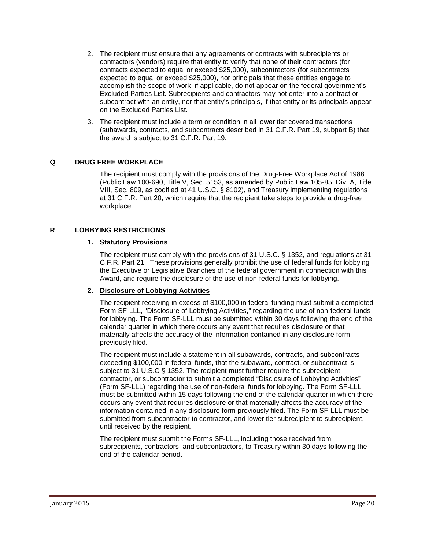- 2. The recipient must ensure that any agreements or contracts with subrecipients or contractors (vendors) require that entity to verify that none of their contractors (for contracts expected to equal or exceed \$25,000), subcontractors (for subcontracts expected to equal or exceed \$25,000), nor principals that these entities engage to accomplish the scope of work, if applicable, do not appear on the federal government's Excluded Parties List. Subrecipients and contractors may not enter into a contract or subcontract with an entity, nor that entity's principals, if that entity or its principals appear on the Excluded Parties List.
- 3. The recipient must include a term or condition in all lower tier covered transactions (subawards, contracts, and subcontracts described in 31 C.F.R. Part 19, subpart B) that the award is subject to 31 C.F.R. Part 19.

#### <span id="page-21-0"></span>**Q DRUG FREE WORKPLACE**

The recipient must comply with the provisions of the Drug-Free Workplace Act of 1988 (Public Law 100-690, Title V, Sec. 5153, as amended by Public Law 105-85, Div. A, Title VIII, Sec. 809, as codified at 41 U.S.C. § 8102), and Treasury implementing regulations at 31 C.F.R. Part 20, which require that the recipient take steps to provide a drug-free workplace.

#### <span id="page-21-1"></span>**R LOBBYING RESTRICTIONS**

#### **1. Statutory Provisions**

The recipient must comply with the provisions of 31 U.S.C. § 1352, and regulations at 31 C.F.R. Part 21. These provisions generally prohibit the use of federal funds for lobbying the Executive or Legislative Branches of the federal government in connection with this Award, and require the disclosure of the use of non-federal funds for lobbying.

#### **2. Disclosure of Lobbying Activities**

The recipient receiving in excess of \$100,000 in federal funding must submit a completed Form SF-LLL, "Disclosure of Lobbying Activities," regarding the use of non-federal funds for lobbying. The Form SF-LLL must be submitted within 30 days following the end of the calendar quarter in which there occurs any event that requires disclosure or that materially affects the accuracy of the information contained in any disclosure form previously filed.

The recipient must include a statement in all subawards, contracts, and subcontracts exceeding \$100,000 in federal funds, that the subaward, contract, or subcontract is subject to 31 U.S.C § 1352. The recipient must further require the subrecipient, contractor, or subcontractor to submit a completed "Disclosure of Lobbying Activities" (Form SF-LLL) regarding the use of non-federal funds for lobbying. The Form SF-LLL must be submitted within 15 days following the end of the calendar quarter in which there occurs any event that requires disclosure or that materially affects the accuracy of the information contained in any disclosure form previously filed. The Form SF-LLL must be submitted from subcontractor to contractor, and lower tier subrecipient to subrecipient, until received by the recipient.

The recipient must submit the Forms SF-LLL, including those received from subrecipients, contractors, and subcontractors, to Treasury within 30 days following the end of the calendar period.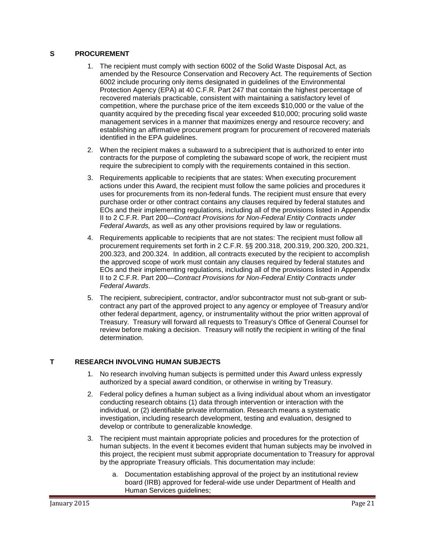#### <span id="page-22-0"></span>**S PROCUREMENT**

- 1. The recipient must comply with section 6002 of the Solid Waste Disposal Act, as amended by the Resource Conservation and Recovery Act. The requirements of Section 6002 include procuring only items designated in guidelines of the Environmental Protection Agency (EPA) at 40 C.F.R. Part 247 that contain the highest percentage of recovered materials practicable, consistent with maintaining a satisfactory level of competition, where the purchase price of the item exceeds \$10,000 or the value of the quantity acquired by the preceding fiscal year exceeded \$10,000; procuring solid waste management services in a manner that maximizes energy and resource recovery; and establishing an affirmative procurement program for procurement of recovered materials identified in the EPA guidelines.
- 2. When the recipient makes a subaward to a subrecipient that is authorized to enter into contracts for the purpose of completing the subaward scope of work, the recipient must require the subrecipient to comply with the requirements contained in this section.
- 3. Requirements applicable to recipients that are states: When executing procurement actions under this Award, the recipient must follow the same policies and procedures it uses for procurements from its non-federal funds. The recipient must ensure that every purchase order or other contract contains any clauses required by federal statutes and EOs and their implementing regulations, including all of the provisions listed in Appendix II to 2 C.F.R. Part 200—*Contract Provisions for Non-Federal Entity Contracts under Federal Awards,* as well as any other provisions required by law or regulations.
- 4. Requirements applicable to recipients that are not states: The recipient must follow all procurement requirements set forth in 2 C.F.R. §§ 200.318, 200.319, 200.320, 200.321, 200.323, and 200.324. In addition, all contracts executed by the recipient to accomplish the approved scope of work must contain any clauses required by federal statutes and EOs and their implementing regulations, including all of the provisions listed in Appendix II to 2 C.F.R. Part 200—*Contract Provisions for Non-Federal Entity Contracts under Federal Awards*.
- 5. The recipient, subrecipient, contractor, and/or subcontractor must not sub-grant or subcontract any part of the approved project to any agency or employee of Treasury and/or other federal department, agency, or instrumentality without the prior written approval of Treasury. Treasury will forward all requests to Treasury's Office of General Counsel for review before making a decision. Treasury will notify the recipient in writing of the final determination.

#### <span id="page-22-1"></span>**T RESEARCH INVOLVING HUMAN SUBJECTS**

- 1. No research involving human subjects is permitted under this Award unless expressly authorized by a special award condition, or otherwise in writing by Treasury.
- 2. Federal policy defines a human subject as a living individual about whom an investigator conducting research obtains (1) data through intervention or interaction with the individual, or (2) identifiable private information. Research means a systematic investigation, including research development, testing and evaluation, designed to develop or contribute to generalizable knowledge.
- 3. The recipient must maintain appropriate policies and procedures for the protection of human subjects. In the event it becomes evident that human subjects may be involved in this project, the recipient must submit appropriate documentation to Treasury for approval by the appropriate Treasury officials. This documentation may include:
	- a. Documentation establishing approval of the project by an institutional review board (IRB) approved for federal-wide use under Department of Health and Human Services guidelines;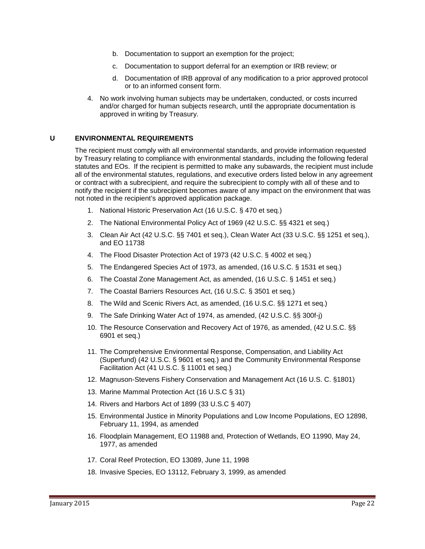- b. Documentation to support an exemption for the project;
- c. Documentation to support deferral for an exemption or IRB review; or
- d. Documentation of IRB approval of any modification to a prior approved protocol or to an informed consent form.
- 4. No work involving human subjects may be undertaken, conducted, or costs incurred and/or charged for human subjects research, until the appropriate documentation is approved in writing by Treasury.

#### <span id="page-23-0"></span>**U ENVIRONMENTAL REQUIREMENTS**

The recipient must comply with all environmental standards, and provide information requested by Treasury relating to compliance with environmental standards, including the following federal statutes and EOs. If the recipient is permitted to make any subawards, the recipient must include all of the environmental statutes, regulations, and executive orders listed below in any agreement or contract with a subrecipient, and require the subrecipient to comply with all of these and to notify the recipient if the subrecipient becomes aware of any impact on the environment that was not noted in the recipient's approved application package.

- 1. National Historic Preservation Act (16 U.S.C. § 470 et seq.)
- 2. The National Environmental Policy Act of 1969 (42 U.S.C. §§ 4321 et seq.)
- 3. Clean Air Act (42 U.S.C. §§ 7401 et seq.), Clean Water Act (33 U.S.C. §§ 1251 et seq.), and EO 11738
- 4. The Flood Disaster Protection Act of 1973 (42 U.S.C. § 4002 et seq.)
- 5. The Endangered Species Act of 1973, as amended, (16 U.S.C. § 1531 et seq.)
- 6. The Coastal Zone Management Act, as amended, (16 U.S.C. § 1451 et seq.)
- 7. The Coastal Barriers Resources Act, (16 U.S.C. § 3501 et seq.)
- 8. The Wild and Scenic Rivers Act, as amended, (16 U.S.C. §§ 1271 et seq.)
- 9. The Safe Drinking Water Act of 1974, as amended, (42 U.S.C. §§ 300f-j)
- 10. The Resource Conservation and Recovery Act of 1976, as amended, (42 U.S.C. §§ 6901 et seq.)
- 11. The Comprehensive Environmental Response, Compensation, and Liability Act (Superfund) (42 U.S.C. § 9601 et seq.) and the Community Environmental Response Facilitation Act (41 U.S.C. § 11001 et seq.)
- 12. Magnuson-Stevens Fishery Conservation and Management Act (16 U.S. C. §1801)
- 13. Marine Mammal Protection Act (16 U.S.C § 31)
- 14. Rivers and Harbors Act of 1899 (33 U.S.C § 407)
- 15. Environmental Justice in Minority Populations and Low Income Populations, EO 12898, February 11, 1994, as amended
- 16. Floodplain Management, EO 11988 and, Protection of Wetlands, EO 11990, May 24, 1977, as amended
- 17. Coral Reef Protection, EO 13089, June 11, 1998
- 18. Invasive Species, EO 13112, February 3, 1999, as amended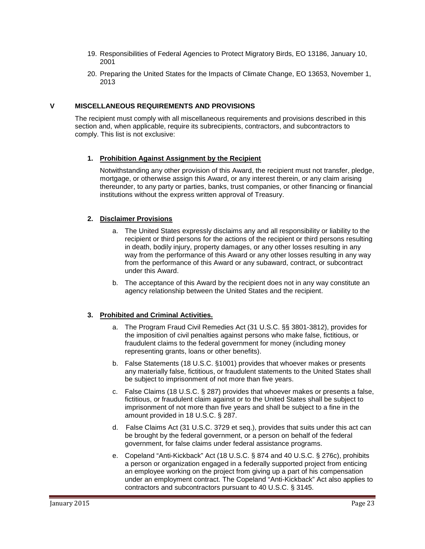- 19. Responsibilities of Federal Agencies to Protect Migratory Birds, EO 13186, January 10, 2001
- 20. Preparing the United States for the Impacts of Climate Change, EO 13653, November 1, 2013

#### <span id="page-24-0"></span>**V MISCELLANEOUS REQUIREMENTS AND PROVISIONS**

The recipient must comply with all miscellaneous requirements and provisions described in this section and, when applicable, require its subrecipients, contractors, and subcontractors to comply. This list is not exclusive:

#### **1. Prohibition Against Assignment by the Recipient**

Notwithstanding any other provision of this Award, the recipient must not transfer, pledge, mortgage, or otherwise assign this Award, or any interest therein, or any claim arising thereunder, to any party or parties, banks, trust companies, or other financing or financial institutions without the express written approval of Treasury.

#### **2. Disclaimer Provisions**

- a. The United States expressly disclaims any and all responsibility or liability to the recipient or third persons for the actions of the recipient or third persons resulting in death, bodily injury, property damages, or any other losses resulting in any way from the performance of this Award or any other losses resulting in any way from the performance of this Award or any subaward, contract, or subcontract under this Award.
- b. The acceptance of this Award by the recipient does not in any way constitute an agency relationship between the United States and the recipient.

#### **3. Prohibited and Criminal Activities.**

- a. The Program Fraud Civil Remedies Act (31 U.S.C. §§ 3801-3812), provides for the imposition of civil penalties against persons who make false, fictitious, or fraudulent claims to the federal government for money (including money representing grants, loans or other benefits).
- b. False Statements (18 U.S.C. §1001) provides that whoever makes or presents any materially false, fictitious, or fraudulent statements to the United States shall be subject to imprisonment of not more than five years.
- c. False Claims (18 U.S.C. § 287) provides that whoever makes or presents a false, fictitious, or fraudulent claim against or to the United States shall be subject to imprisonment of not more than five years and shall be subject to a fine in the amount provided in 18 U.S.C. § 287.
- d. False Claims Act (31 U.S.C. 3729 et seq.), provides that suits under this act can be brought by the federal government, or a person on behalf of the federal government, for false claims under federal assistance programs.
- e. Copeland "Anti-Kickback" Act (18 U.S.C. § 874 and 40 U.S.C. § 276c), prohibits a person or organization engaged in a federally supported project from enticing an employee working on the project from giving up a part of his compensation under an employment contract. The Copeland "Anti-Kickback" Act also applies to contractors and subcontractors pursuant to 40 U.S.C. § 3145.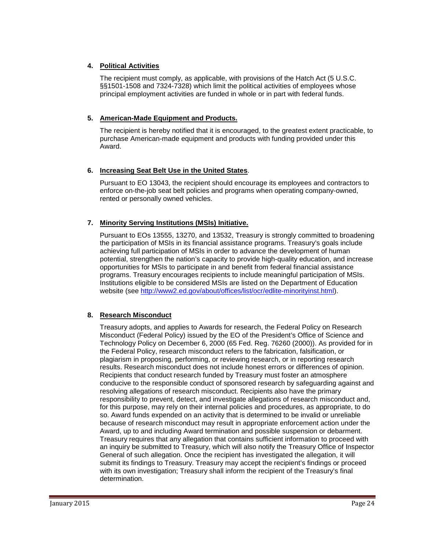#### **4. Political Activities**

The recipient must comply, as applicable, with provisions of the Hatch Act (5 U.S.C. §§1501-1508 and 7324-7328) which limit the political activities of employees whose principal employment activities are funded in whole or in part with federal funds.

#### **5. American-Made Equipment and Products.**

The recipient is hereby notified that it is encouraged, to the greatest extent practicable, to purchase American-made equipment and products with funding provided under this Award.

#### **6. Increasing Seat Belt Use in the United States**.

Pursuant to EO 13043, the recipient should encourage its employees and contractors to enforce on-the-job seat belt policies and programs when operating company-owned, rented or personally owned vehicles.

#### **7. Minority Serving Institutions (MSIs) Initiative.**

Pursuant to EOs 13555, 13270, and 13532, Treasury is strongly committed to broadening the participation of MSIs in its financial assistance programs. Treasury's goals include achieving full participation of MSIs in order to advance the development of human potential, strengthen the nation's capacity to provide high-quality education, and increase opportunities for MSIs to participate in and benefit from federal financial assistance programs. Treasury encourages recipients to include meaningful participation of MSIs. Institutions eligible to be considered MSIs are listed on the Department of Education website (see [http://www2.ed.gov/about/offices/list/ocr/edlite-minorityinst.html\)](http://www2.ed.gov/about/offices/list/ocr/edlite-minorityinst.html).

#### **8. Research Misconduct**

Treasury adopts, and applies to Awards for research, the Federal Policy on Research Misconduct (Federal Policy) issued by the EO of the President's Office of Science and Technology Policy on December 6, 2000 (65 Fed. Reg. 76260 (2000)). As provided for in the Federal Policy, research misconduct refers to the fabrication, falsification, or plagiarism in proposing, performing, or reviewing research, or in reporting research results. Research misconduct does not include honest errors or differences of opinion. Recipients that conduct research funded by Treasury must foster an atmosphere conducive to the responsible conduct of sponsored research by safeguarding against and resolving allegations of research misconduct. Recipients also have the primary responsibility to prevent, detect, and investigate allegations of research misconduct and, for this purpose, may rely on their internal policies and procedures, as appropriate, to do so. Award funds expended on an activity that is determined to be invalid or unreliable because of research misconduct may result in appropriate enforcement action under the Award, up to and including Award termination and possible suspension or debarment. Treasury requires that any allegation that contains sufficient information to proceed with an inquiry be submitted to Treasury, which will also notify the Treasury Office of Inspector General of such allegation. Once the recipient has investigated the allegation, it will submit its findings to Treasury. Treasury may accept the recipient's findings or proceed with its own investigation; Treasury shall inform the recipient of the Treasury's final determination.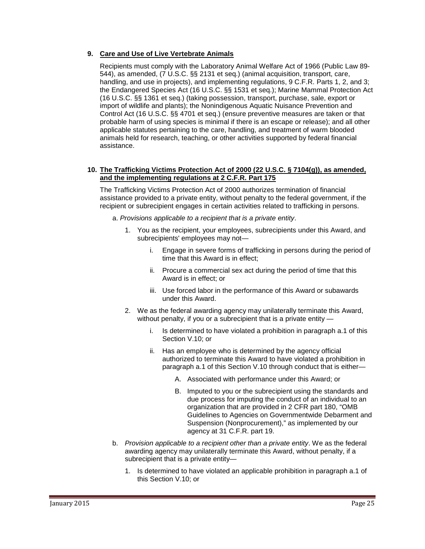#### **9. Care and Use of Live Vertebrate Animals**

Recipients must comply with the Laboratory Animal Welfare Act of 1966 (Public Law 89- 544), as amended, (7 U.S.C. §§ 2131 et seq.) (animal acquisition, transport, care, handling, and use in projects), and implementing regulations, 9 C.F.R. Parts 1, 2, and 3; the Endangered Species Act (16 U.S.C. §§ 1531 et seq.); Marine Mammal Protection Act (16 U.S.C. §§ 1361 et seq.) (taking possession, transport, purchase, sale, export or import of wildlife and plants); the Nonindigenous Aquatic Nuisance Prevention and Control Act (16 U.S.C. §§ 4701 et seq.) (ensure preventive measures are taken or that probable harm of using species is minimal if there is an escape or release); and all other applicable statutes pertaining to the care, handling, and treatment of warm blooded animals held for research, teaching, or other activities supported by federal financial assistance.

#### **10. The Trafficking Victims Protection Act of 2000 (22 U.S.C. § 7104(g)), as amended, and the implementing regulations at 2 C.F.R. Part 175**

The Trafficking Victims Protection Act of 2000 authorizes termination of financial assistance provided to a private entity, without penalty to the federal government, if the recipient or subrecipient engages in certain activities related to trafficking in persons.

- a. *Provisions applicable to a recipient that is a private entity*.
	- 1. You as the recipient, your employees, subrecipients under this Award, and subrecipients' employees may not
		- i. Engage in severe forms of trafficking in persons during the period of time that this Award is in effect;
		- ii. Procure a commercial sex act during the period of time that this Award is in effect; or
		- iii. Use forced labor in the performance of this Award or subawards under this Award.
	- 2. We as the federal awarding agency may unilaterally terminate this Award, without penalty, if you or a subrecipient that is a private entity
		- i. Is determined to have violated a prohibition in paragraph a.1 of this Section V.10; or
		- ii. Has an employee who is determined by the agency official authorized to terminate this Award to have violated a prohibition in paragraph a.1 of this Section V.10 through conduct that is either—
			- A. Associated with performance under this Award; or
			- B. Imputed to you or the subrecipient using the standards and due process for imputing the conduct of an individual to an organization that are provided in 2 CFR part 180, "OMB Guidelines to Agencies on Governmentwide Debarment and Suspension (Nonprocurement)," as implemented by our agency at 31 C.F.R. part 19.
- b. *Provision applicable to a recipient other than a private entity*. We as the federal awarding agency may unilaterally terminate this Award, without penalty, if a subrecipient that is a private entity—
	- 1. Is determined to have violated an applicable prohibition in paragraph a.1 of this Section V.10; or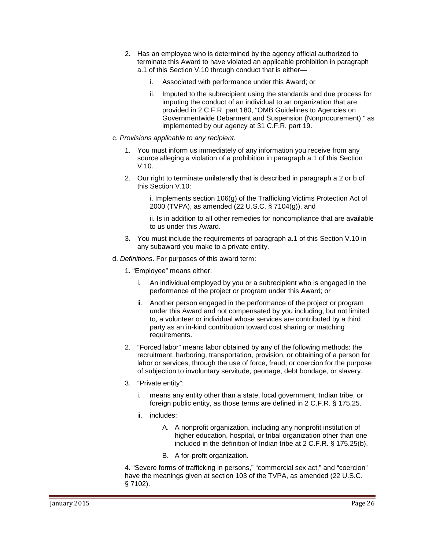- 2. Has an employee who is determined by the agency official authorized to terminate this Award to have violated an applicable prohibition in paragraph a.1 of this Section V.10 through conduct that is either
	- i. Associated with performance under this Award; or
	- ii. Imputed to the subrecipient using the standards and due process for imputing the conduct of an individual to an organization that are provided in 2 C.F.R. part 180, "OMB Guidelines to Agencies on Governmentwide Debarment and Suspension (Nonprocurement)," as implemented by our agency at 31 C.F.R. part 19.
- c. *Provisions applicable to any recipient*.
	- 1. You must inform us immediately of any information you receive from any source alleging a violation of a prohibition in paragraph a.1 of this Section V.10.
	- 2. Our right to terminate unilaterally that is described in paragraph a.2 or b of this Section V.10:

i. Implements section 106(g) of the Trafficking Victims Protection Act of 2000 (TVPA), as amended (22 U.S.C. § 7104(g)), and

ii. Is in addition to all other remedies for noncompliance that are available to us under this Award.

- 3. You must include the requirements of paragraph a.1 of this Section V.10 in any subaward you make to a private entity.
- d. *Definitions*. For purposes of this award term:
	- 1. "Employee" means either:
		- i. An individual employed by you or a subrecipient who is engaged in the performance of the project or program under this Award; or
		- ii. Another person engaged in the performance of the project or program under this Award and not compensated by you including, but not limited to, a volunteer or individual whose services are contributed by a third party as an in-kind contribution toward cost sharing or matching requirements.
	- 2. "Forced labor" means labor obtained by any of the following methods: the recruitment, harboring, transportation, provision, or obtaining of a person for labor or services, through the use of force, fraud, or coercion for the purpose of subjection to involuntary servitude, peonage, debt bondage, or slavery.
	- 3. "Private entity":
		- i. means any entity other than a state, local government, Indian tribe, or foreign public entity, as those terms are defined in 2 C.F.R. § 175.25.
		- ii. includes:
			- A. A nonprofit organization, including any nonprofit institution of higher education, hospital, or tribal organization other than one included in the definition of Indian tribe at 2 C.F.R. § 175.25(b).
			- B. A for-profit organization.

4. "Severe forms of trafficking in persons," "commercial sex act," and "coercion" have the meanings given at section 103 of the TVPA, as amended (22 U.S.C. § 7102).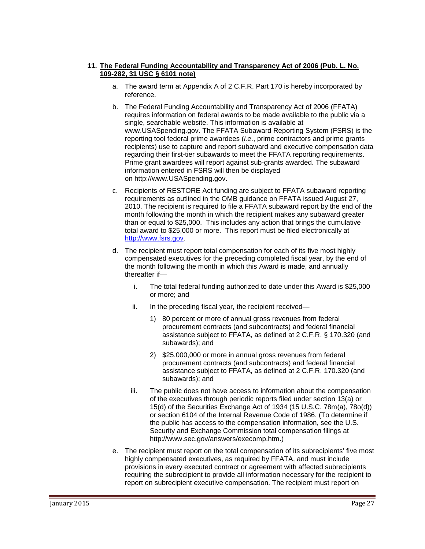#### **11. The Federal Funding Accountability and Transparency Act of 2006 (Pub. L. No. 109-282, 31 USC § 6101 note)**

- a. The award term at Appendix A of 2 C.F.R. Part 170 is hereby incorporated by reference.
- b. The Federal Funding Accountability and Transparency Act of 2006 (FFATA) requires information on federal awards to be made available to the public via a single, searchable website. This information is available at www.USASpending.gov. The FFATA Subaward Reporting System (FSRS) is the reporting tool federal prime awardees (*i.e*., prime contractors and prime grants recipients) use to capture and report subaward and executive compensation data regarding their first-tier subawards to meet the FFATA reporting requirements. Prime grant awardees will report against sub-grants awarded. The subaward information entered in FSRS will then be displayed on http:/[/www.USASpending.gov.](http://www.usaspending.gov/)
- c. Recipients of RESTORE Act funding are subject to FFATA subaward reporting requirements as outlined in the OMB guidance on FFATA issued August 27, 2010. The recipient is required to file a FFATA subaward report by the end of the month following the month in which the recipient makes any subaward greater than or equal to \$25,000. This includes any action that brings the cumulative total award to \$25,000 or more. This report must be filed electronically at [http://www.fsrs.gov.](http://www.fsrs.gov/)
- d. The recipient must report total compensation for each of its five most highly compensated executives for the preceding completed fiscal year, by the end of the month following the month in which this Award is made, and annually thereafter if
	- i. The total federal funding authorized to date under this Award is \$25,000 or more; and
	- ii. In the preceding fiscal year, the recipient received—
		- 1) 80 percent or more of annual gross revenues from federal procurement contracts (and subcontracts) and federal financial assistance subject to FFATA, as defined at 2 C.F.R. § 170.320 (and subawards); and
		- 2) \$25,000,000 or more in annual gross revenues from federal procurement contracts (and subcontracts) and federal financial assistance subject to FFATA, as defined at 2 C.F.R. 170.320 (and subawards); and
	- iii. The public does not have access to information about the compensation of the executives through periodic reports filed under section 13(a) or 15(d) of the Securities Exchange Act of 1934 (15 U.S.C. 78m(a), 78o(d)) or section 6104 of the Internal Revenue Code of 1986. (To determine if the public has access to the compensation information, see the U.S. Security and Exchange Commission total compensation filings at http://www.sec.gov/answers/execomp.htm.)
- e. The recipient must report on the total compensation of its subrecipients' five most highly compensated executives, as required by FFATA, and must include provisions in every executed contract or agreement with affected subrecipients requiring the subrecipient to provide all information necessary for the recipient to report on subrecipient executive compensation. The recipient must report on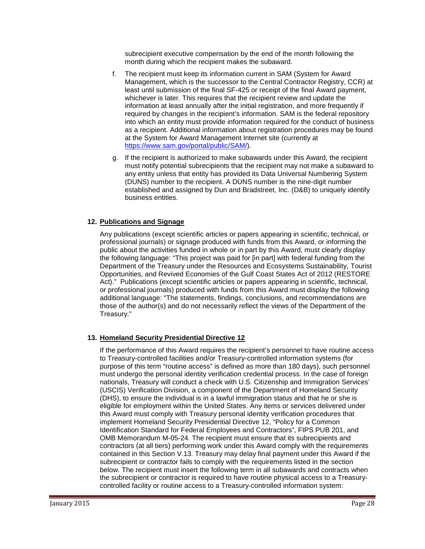subrecipient executive compensation by the end of the month following the month during which the recipient makes the subaward.

- f. The recipient must keep its information current in SAM (System for Award Management, which is the successor to the Central Contractor Registry, CCR) at least until submission of the final SF-425 or receipt of the final Award payment, whichever is later. This requires that the recipient review and update the information at least annually after the initial registration, and more frequently if required by changes in the recipient's information. SAM is the federal repository into which an entity must provide information required for the conduct of business as a recipient. Additional information about registration procedures may be found at the System for Award Management Internet site (currently at [https://www.sam.gov/portal/public/SAM/\)](https://www.sam.gov/portal/public/SAM/).
- g. If the recipient is authorized to make subawards under this Award, the recipient must notify potential subrecipients that the recipient may not make a subaward to any entity unless that entity has provided its Data Universal Numbering System (DUNS) number to the recipient. A DUNS number is the nine-digit number established and assigned by Dun and Bradstreet, Inc. (D&B) to uniquely identify business entities.

#### **12. Publications and Signage**

Any publications (except scientific articles or papers appearing in scientific, technical, or professional journals) or signage produced with funds from this Award, or informing the public about the activities funded in whole or in part by this Award, must clearly display the following language: "This project was paid for [in part] with federal funding from the Department of the Treasury under the Resources and Ecosystems Sustainability, Tourist Opportunities, and Revived Economies of the Gulf Coast States Act of 2012 (RESTORE Act)." Publications (except scientific articles or papers appearing in scientific, technical, or professional journals) produced with funds from this Award must display the following additional language: "The statements, findings, conclusions, and recommendations are those of the author(s) and do not necessarily reflect the views of the Department of the Treasury."

#### **13. Homeland Security Presidential Directive 12**

If the performance of this Award requires the recipient's personnel to have routine access to Treasury-controlled facilities and/or Treasury-controlled information systems (for purpose of this term "routine access" is defined as more than 180 days), such personnel must undergo the personal identity verification credential process. In the case of foreign nationals, Treasury will conduct a check with U.S. Citizenship and Immigration Services' (USCIS) Verification Division, a component of the Department of Homeland Security (DHS), to ensure the individual is in a lawful immigration status and that he or she is eligible for employment within the United States. Any items or services delivered under this Award must comply with Treasury personal identity verification procedures that implement Homeland Security Presidential Directive 12, "Policy for a Common Identification Standard for Federal Employees and Contractors", FIPS PUB 201, and OMB Memorandum M-05-24. The recipient must ensure that its subrecipients and contractors (at all tiers) performing work under this Award comply with the requirements contained in this Section V.13. Treasury may delay final payment under this Award if the subrecipient or contractor fails to comply with the requirements listed in the section below. The recipient must insert the following term in all subawards and contracts when the subrecipient or contractor is required to have routine physical access to a Treasurycontrolled facility or routine access to a Treasury-controlled information system: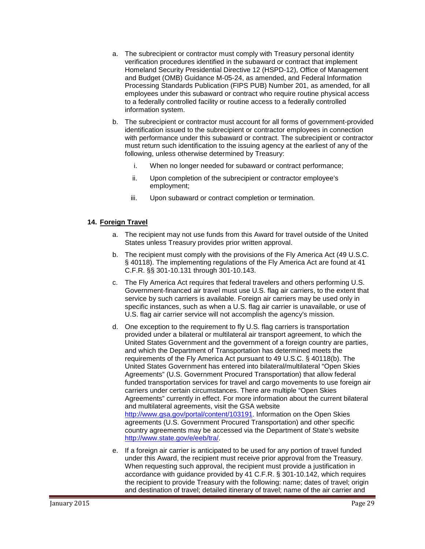- a. The subrecipient or contractor must comply with Treasury personal identity verification procedures identified in the subaward or contract that implement Homeland Security Presidential Directive 12 (HSPD-12), Office of Management and Budget (OMB) Guidance M-05-24, as amended, and Federal Information Processing Standards Publication (FIPS PUB) Number 201, as amended, for all employees under this subaward or contract who require routine physical access to a federally controlled facility or routine access to a federally controlled information system.
- b. The subrecipient or contractor must account for all forms of government-provided identification issued to the subrecipient or contractor employees in connection with performance under this subaward or contract. The subrecipient or contractor must return such identification to the issuing agency at the earliest of any of the following, unless otherwise determined by Treasury:
	- i. When no longer needed for subaward or contract performance;
	- ii. Upon completion of the subrecipient or contractor employee's employment;
	- iii. Upon subaward or contract completion or termination.

#### **14. Foreign Travel**

- a. The recipient may not use funds from this Award for travel outside of the United States unless Treasury provides prior written approval.
- b. The recipient must comply with the provisions of the Fly America Act (49 U.S.C. § 40118). The implementing regulations of the Fly America Act are found at 41 C.F.R. §§ 301-10.131 through 301-10.143.
- c. The Fly America Act requires that federal travelers and others performing U.S. Government-financed air travel must use U.S. flag air carriers, to the extent that service by such carriers is available. Foreign air carriers may be used only in specific instances, such as when a U.S. flag air carrier is unavailable, or use of U.S. flag air carrier service will not accomplish the agency's mission.
- d. One exception to the requirement to fly U.S. flag carriers is transportation provided under a bilateral or multilateral air transport agreement, to which the United States Government and the government of a foreign country are parties, and which the Department of Transportation has determined meets the requirements of the Fly America Act pursuant to 49 U.S.C. § 40118(b). The United States Government has entered into bilateral/multilateral "Open Skies Agreements" (U.S. Government Procured Transportation) that allow federal funded transportation services for travel and cargo movements to use foreign air carriers under certain circumstances. There are multiple "Open Skies Agreements" currently in effect. For more information about the current bilateral and multilateral agreements, visit the GSA website http://www.gsa.gov/portal/content/103191. Information on the Open Skies agreements (U.S. Government Procured Transportation) and other specific country agreements may be accessed via the Department of State's website http://www.state.gov/e/eeb/tra/.
- e. If a foreign air carrier is anticipated to be used for any portion of travel funded under this Award, the recipient must receive prior approval from the Treasury. When requesting such approval, the recipient must provide a justification in accordance with guidance provided by 41 C.F.R. § 301-10.142, which requires the recipient to provide Treasury with the following: name; dates of travel; origin and destination of travel; detailed itinerary of travel; name of the air carrier and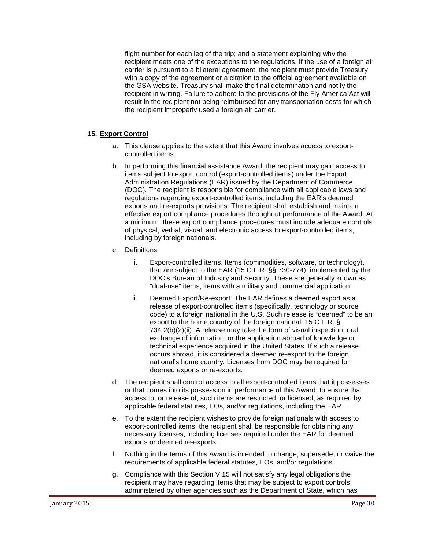flight number for each leg of the trip; and a statement explaining why the recipient meets one of the exceptions to the regulations. If the use of a foreign air carrier is pursuant to a bilateral agreement, the recipient must provide Treasury with a copy of the agreement or a citation to the official agreement available on the GSA website. Treasury shall make the final determination and notify the recipient in writing. Failure to adhere to the provisions of the Fly America Act will result in the recipient not being reimbursed for any transportation costs for which the recipient improperly used a foreign air carrier.

#### **15. Export Control**

- a. This clause applies to the extent that this Award involves access to exportcontrolled items.
- b. In performing this financial assistance Award, the recipient may gain access to items subject to export control (export-controlled items) under the Export Administration Regulations (EAR) issued by the Department of Commerce (DOC). The recipient is responsible for compliance with all applicable laws and regulations regarding export-controlled items, including the EAR's deemed exports and re-exports provisions. The recipient shall establish and maintain effective export compliance procedures throughout performance of the Award. At a minimum, these export compliance procedures must include adequate controls of physical, verbal, visual, and electronic access to export-controlled items, including by foreign nationals.
- c. Definitions
	- i. Export-controlled items. Items (commodities, software, or technology), that are subject to the EAR (15 C.F.R. §§ 730-774), implemented by the DOC's Bureau of Industry and Security. These are generally known as "dual-use" items, items with a military and commercial application.
	- ii. Deemed Export/Re-export. The EAR defines a deemed export as a release of export-controlled items (specifically, technology or source code) to a foreign national in the U.S. Such release is "deemed" to be an export to the home country of the foreign national. 15 C.F.R. § 734.2(b)(2)(ii). A release may take the form of visual inspection, oral exchange of information, or the application abroad of knowledge or technical experience acquired in the United States. If such a release occurs abroad, it is considered a deemed re-export to the foreign national's home country. Licenses from DOC may be required for deemed exports or re-exports.
- d. The recipient shall control access to all export-controlled items that it possesses or that comes into its possession in performance of this Award, to ensure that access to, or release of, such items are restricted, or licensed, as required by applicable federal statutes, EOs, and/or regulations, including the EAR.
- e. To the extent the recipient wishes to provide foreign nationals with access to export-controlled items, the recipient shall be responsible for obtaining any necessary licenses, including licenses required under the EAR for deemed exports or deemed re-exports.
- f. Nothing in the terms of this Award is intended to change, supersede, or waive the requirements of applicable federal statutes, EOs, and/or regulations.
- g. Compliance with this Section V.15 will not satisfy any legal obligations the recipient may have regarding items that may be subject to export controls administered by other agencies such as the Department of State, which has